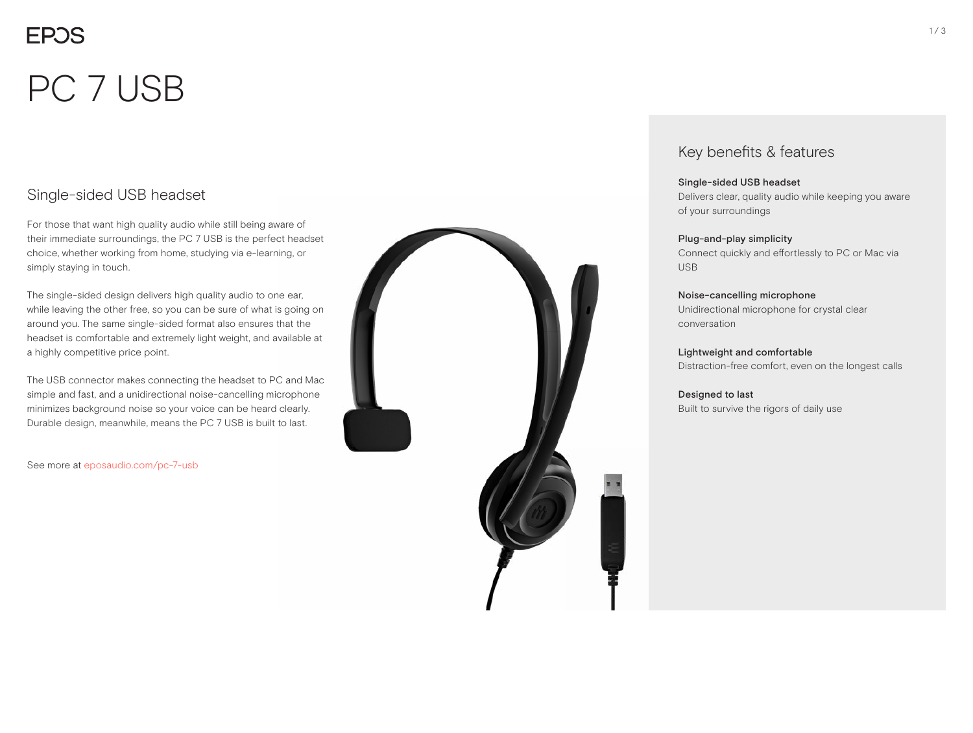# PC 7 USB

## Single-sided USB headset

For those that want high quality audio while still being aware of their immediate surroundings, the PC 7 USB is the perfect headset choice, whether working from home, studying via e-learning, or simply staying in touch.

The single-sided design delivers high quality audio to one ear, while leaving the other free, so you can be sure of what is going on around you. The same single-sided format also ensures that the headset is comfortable and extremely light weight, and available at a highly competitive price point.

The USB connector makes connecting the headset to PC and Mac simple and fast, and a unidirectional noise-cancelling microphone minimizes background noise so your voice can be heard clearly. Durable design, meanwhile, means the PC 7 USB is built to last.

See more at eposaudio.com/pc-7-usb



### Key benefits & features

### Single-sided USB headset

Delivers clear, quality audio while keeping you aware of your surroundings

#### Plug-and-play simplicity

Connect quickly and effortlessly to PC or Mac via USB

### Noise-cancelling microphone

Unidirectional microphone for crystal clear conversation

Lightweight and comfortable Distraction-free comfort, even on the longest calls

Designed to last Built to survive the rigors of daily use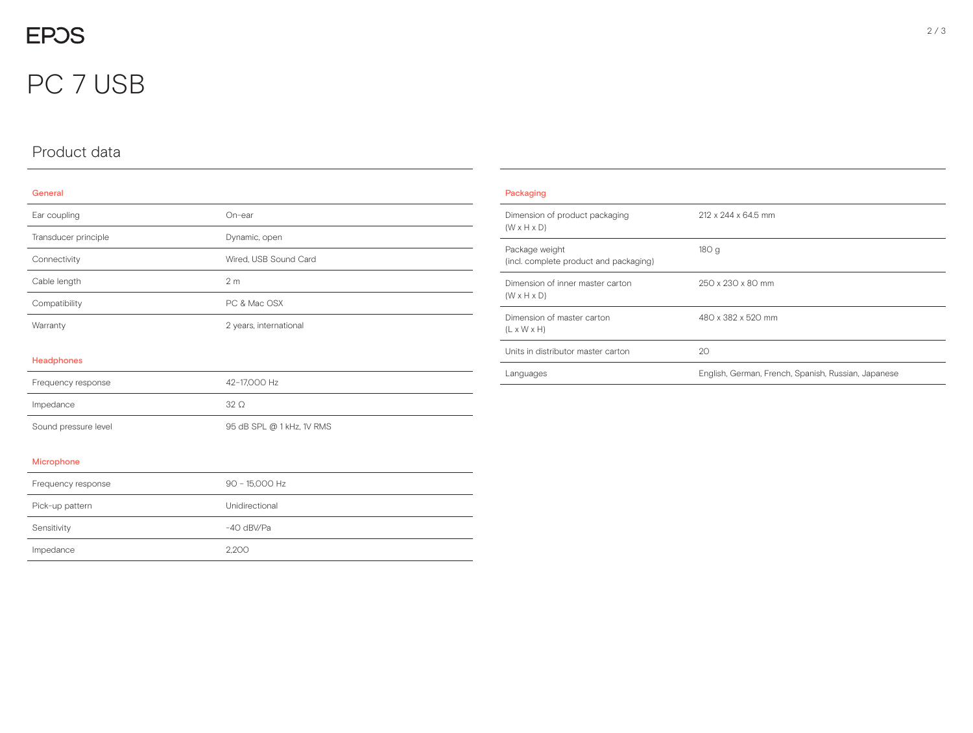# PC 7 USB

# Product data

#### General

| Ear coupling         | On-ear                    |
|----------------------|---------------------------|
| Transducer principle | Dynamic, open             |
| Connectivity         | Wired, USB Sound Card     |
| Cable length         | 2 <sub>m</sub>            |
| Compatibility        | PC & Mac OSX              |
| Warranty             | 2 years, international    |
| Headphones           |                           |
| Frequency response   | 42-17,000 Hz              |
| Impedance            | $32\Omega$                |
| Sound pressure level | 95 dB SPL @ 1 kHz, 1V RMS |
| Microphone           |                           |

| Packaging                                                   |                                                     |
|-------------------------------------------------------------|-----------------------------------------------------|
| Dimension of product packaging<br>$(W \times H \times D)$   | 212 x 244 x 64.5 mm                                 |
| Package weight<br>(incl. complete product and packaging)    | 180g                                                |
| Dimension of inner master carton<br>$(W \times H \times D)$ | 250 x 230 x 80 mm                                   |
| Dimension of master carton<br>$(L \times W \times H)$       | 480 x 382 x 520 mm                                  |
| Units in distributor master carton                          | 20                                                  |
| Languages                                                   | English, German, French, Spanish, Russian, Japanese |

| Frequency response | 90 - 15,000 Hz |
|--------------------|----------------|
| Pick-up pattern    | Unidirectional |
| Sensitivity        | $-40$ dBV/Pa   |
| Impedance          | 2.200          |

 $\overline{\phantom{0}}$